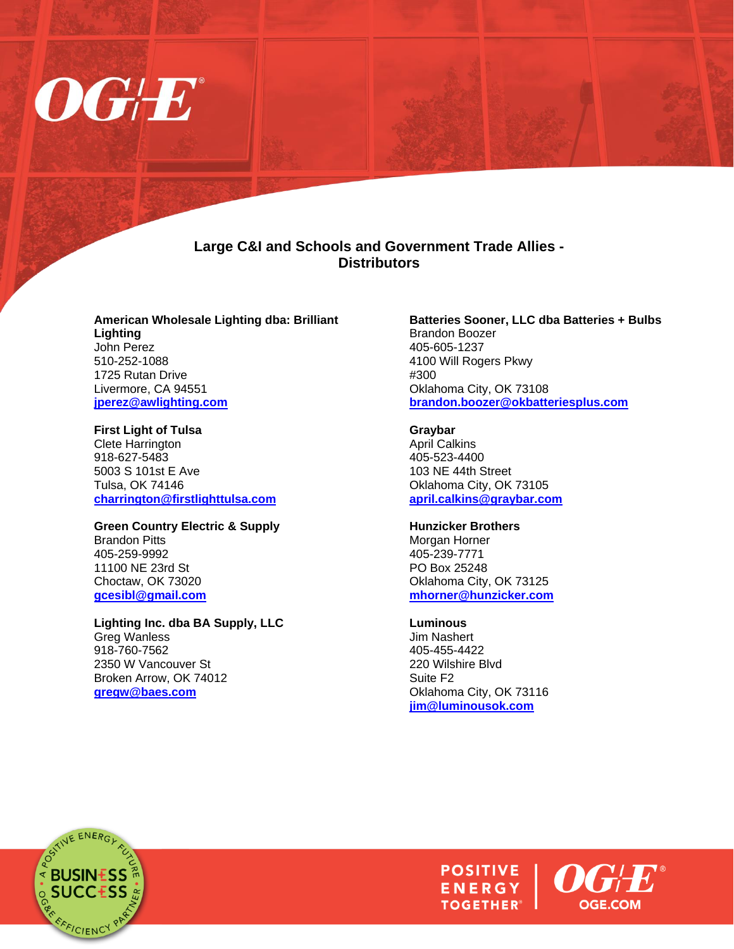

## **Large C&I and Schools and Government Trade Allies - Distributors**

**American Wholesale Lighting dba: Brilliant Lighting** John Perez 510-252-1088 1725 Rutan Drive Livermore, CA 94551 **[jperez@awlighting.com](mailto:jperez@awlighting.com)**

#### **First Light of Tulsa**

Clete Harrington 918-627-5483 5003 S 101st E Ave Tulsa, OK 74146 **[charrington@firstlighttulsa.com](mailto:charrington@firstlighttulsa.com)**

### **Green Country Electric & Supply**

Brandon Pitts 405-259-9992 11100 NE 23rd St Choctaw, OK 73020 **[gcesibl@gmail.com](mailto:gcesibl@gmail.com)**

**Lighting Inc. dba BA Supply, LLC** Greg Wanless 918-760-7562 2350 W Vancouver St Broken Arrow, OK 74012 **[gregw@baes.com](mailto:gregw@baes.com)**

#### **Batteries Sooner, LLC dba Batteries + Bulbs** Brandon Boozer 405-605-1237 4100 Will Rogers Pkwy #300 Oklahoma City, OK 73108 **[brandon.boozer@okbatteriesplus.com](mailto:brandon.boozer@okbatteriesplus.com)**

#### **Graybar**

April Calkins 405-523-4400 103 NE 44th Street Oklahoma City, OK 73105 **[april.calkins@graybar.com](mailto:april.calkins@graybar.com)**

### **Hunzicker Brothers**

Morgan Horner 405-239-7771 PO Box 25248 Oklahoma City, OK 73125 **[mhorner@hunzicker.com](mailto:mhorner@hunzicker.com)**

#### **Luminous**

Jim Nashert 405-455-4422 220 Wilshire Blvd Suite F2 Oklahoma City, OK 73116 **[jim@luminousok.com](mailto:jim@luminousok.com)**